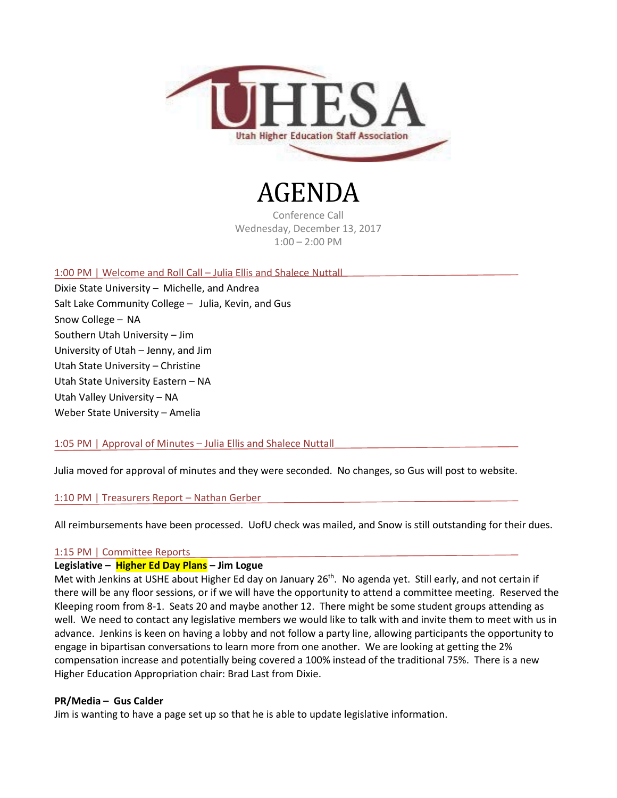

# AGENDA

Conference Call Wednesday, December 13, 2017 1:00 – 2:00 PM

1:00 PM | Welcome and Roll Call – Julia Ellis and Shalece Nuttall

Dixie State University – Michelle, and Andrea Salt Lake Community College – Julia, Kevin, and Gus Snow College – NA Southern Utah University – Jim University of Utah – Jenny, and Jim Utah State University – Christine Utah State University Eastern – NA Utah Valley University – NA Weber State University – Amelia

1:05 PM | Approval of Minutes – Julia Ellis and Shalece Nuttall

Julia moved for approval of minutes and they were seconded. No changes, so Gus will post to website.

1:10 PM | Treasurers Report – Nathan Gerber

All reimbursements have been processed. UofU check was mailed, and Snow is still outstanding for their dues.

# 1:15 PM | Committee Reports

# **Legislative – Higher Ed Day Plans – Jim Logue**

Met with Jenkins at USHE about Higher Ed day on January 26<sup>th</sup>. No agenda yet. Still early, and not certain if there will be any floor sessions, or if we will have the opportunity to attend a committee meeting. Reserved the Kleeping room from 8-1. Seats 20 and maybe another 12. There might be some student groups attending as well. We need to contact any legislative members we would like to talk with and invite them to meet with us in advance. Jenkins is keen on having a lobby and not follow a party line, allowing participants the opportunity to engage in bipartisan conversations to learn more from one another. We are looking at getting the 2% compensation increase and potentially being covered a 100% instead of the traditional 75%. There is a new Higher Education Appropriation chair: Brad Last from Dixie.

# **PR/Media – Gus Calder**

Jim is wanting to have a page set up so that he is able to update legislative information.